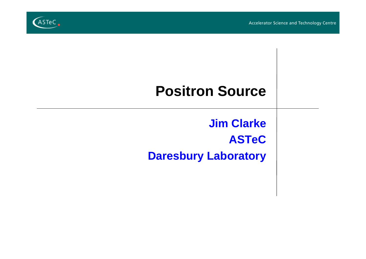

# **Positron Source**

**Jim Clarke ASTeC Daresbury Laboratory**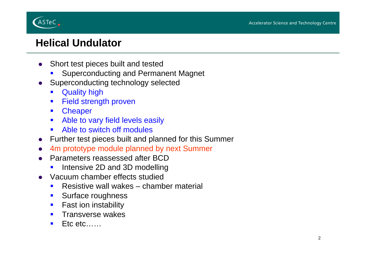

## **Helical Undulator**

- $\bullet$  Short test pieces built and tested
	- П Superconducting and Permanent Magnet
- $\bullet$  Superconducting technology selected
	- $\blacksquare$ Quality high
	- $\blacksquare$ Field strength proven
	- $\blacksquare$ **Cheaper**
	- $\mathcal{L}_{\mathcal{A}}$ Able to vary field levels easily
	- **EXECUTE:** Able to switch off modules
- Further test pieces built and planned for this Summer
- $\bullet$ 4m prototype module planned by next Summer
- $\bullet$  Parameters reassessed after BCD
	- $\blacksquare$ Intensive 2D and 3D modelling
- $\bullet$  Vacuum chamber effects studied
	- $\blacksquare$ Resistive wall wakes – chamber material
	- $\mathcal{L}_{\mathcal{A}}$ Surface roughness
	- $\blacksquare$ Fast ion instability
	- $\blacksquare$ Transverse wakes
	- $\mathcal{L}_{\mathcal{A}}$ Etc etc……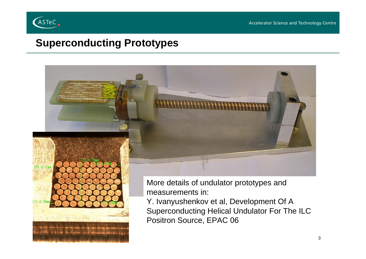

Accelerator Science and Technology Centre

#### **Superconducting Prototypes**

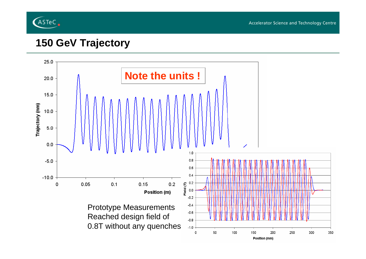

#### **150 GeV Trajectory**

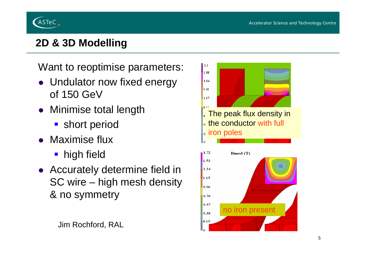

# **2D & 3D Modelling**

Want to reoptimise parameters:

- Undulator now fixed energy of 150 GeV
- Minimise total length
	- **short period**
- Maximise flux
	- **high field**
- Accurately determine field in SC wire – high mesh density & no symmetry

#### Jim Rochford, RAL

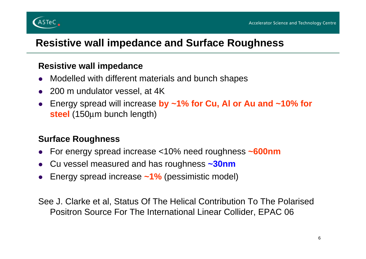

#### **Resistive wall impedance and Surface Roughness**

#### **Resistive wall impedance**

- $\bullet$ Modelled with different materials and bunch shapes
- 200 m undulator vessel, at 4K
- $\bullet$  Energy spread will increase **by ~1% for Cu, Al or Au and ~10% for steel** (150 μm bunch length)

#### **Surface Roughness**

- $\bullet$ For energy spread increase <10% need roughness **~600nm**
- $\bullet$ Cu vessel measured and has roughness **~30nm**
- $\bullet$ Energy spread increase **~1%** (pessimistic model)

See J. Clarke et al, Status Of The Helical Contribution To The Polarised Positron Source For The International Linear Collider, EPAC 06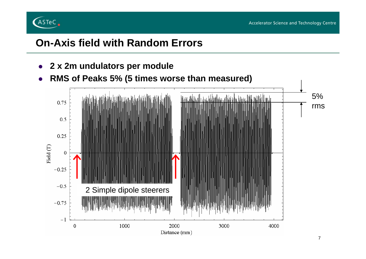

#### **On-Axis field with Random Errors**

 $\bullet$ **2 x 2m undulators per module**

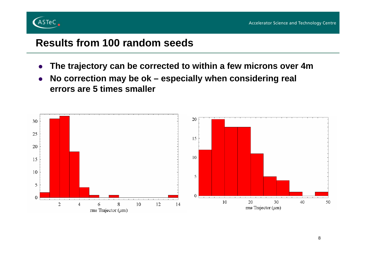

#### **Results from 100 random seeds**

- $\bullet$ **The trajectory can be corrected to within a few microns over 4m**
- $\bullet$  **No correction may be ok – especially when considering real errors are 5 times smaller**

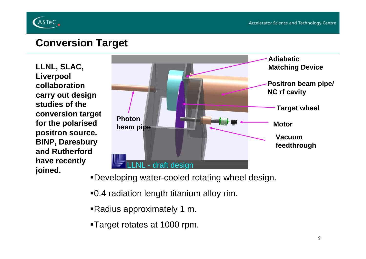

#### **Conversion Target**

**LLNL, SLAC, Liverpool collaboration carry out design studies of the conversion target for the polarised positron source. BINP, Daresbury and Rutherford have recently** 



Developing water-cooled rotating wheel design.

0.4 radiation length titanium alloy rim.

Radius approximately 1 m.

Target rotates at 1000 rpm.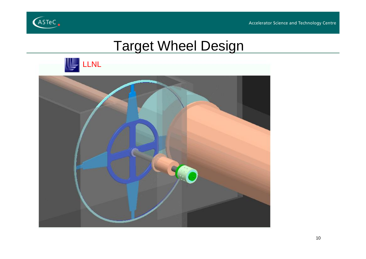



# Target Wheel Design



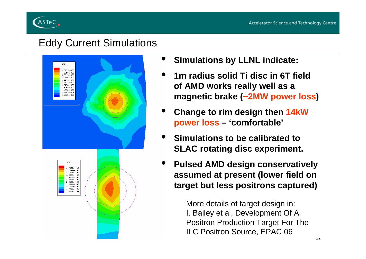

#### Eddy Current Simulations



- •**Simulations by LLNL indicate:**
- • **1m radius solid Ti disc in 6T field of AMD works really well as a magnetic brake (~2MW power loss)**
- • **Change to rim design then 14kW power loss – 'comfortable'**
- • **Simulations to be calibrated to SLAC rotating disc experiment.**
- • **Pulsed AMD design conservatively assumed at present (lower field on target but less positrons captured)**

More details of target design in: I. Bailey et al, Development Of A Positron Production Target For The ILC Positron Source, EPAC 06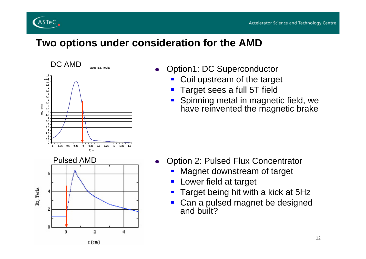

#### **Two options under consideration for the AMD**

 $\bullet$ 



- $\bullet$  Option1: DC Superconductor
	- F Coil upstream of the target
	- Target sees a full 5T field
	- F **Spinning metal in magnetic field, we** have reinvented the magnetic brake

- Option 2: Pulsed Flux Concentrator
	- F Magnet downstream of target
	- $\mathcal{L}_{\mathcal{A}}$ Lower field at target
	- **Target being hit with a kick at 5Hz**
	- $\blacksquare$ **Can a pulsed magnet be designed** and built?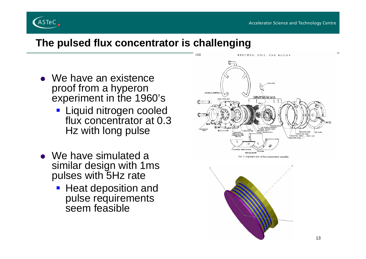

#### **The pulsed flux concentrator is challenging**

- $\bullet\,$  We have an existence proof from a hyperon experiment in the 1960's
	- **Example 1 Liquid nitrogen cooled** flux concentrator at 0.3 Hz with long pulse
- $\bullet\;$  We have simulated a similar design with 1ms pulses with 5Hz rate
	- **Heat deposition and** pulse requirements seem feasible



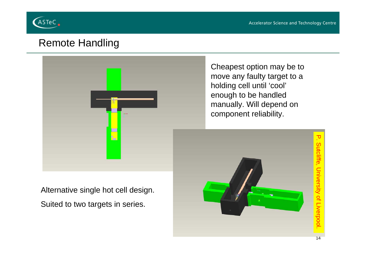

#### Remote Handling



Cheapest option may be to move any faulty target to a holding cell until 'cool' enough to be handled manually. Will depend on component reliability.

Alternative single hot cell design. Suited to two targets in series.

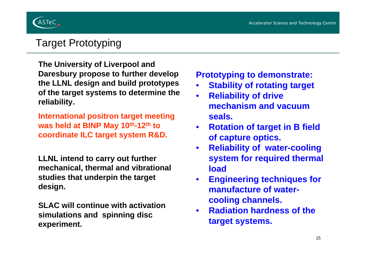

## Target Prototyping

**The University of Liverpool and Daresbury propose to further develop the LLNL design and build prototypes of the target systems to determine the reliability.**

**International positron target meeting was held at BINP May 10th-12th to coordinate ILC target system R&D.**

**LLNL intend to carry out further mechanical, thermal and vibrational studies that underpin the target design.**

**SLAC will continue with activation simulations and spinning disc experiment.** 

**Prototyping to demonstrate:**

- •**Stability of rotating target**
- $\bullet$  **Reliability of drive mechanism and vacuum seals.**
- $\bullet$  **Rotation of target in B field of capture optics.**
- $\bullet$  **Reliability of water-cooling system for required thermal load**
- $\bullet$  **Engineering techniques for manufacture of watercooling channels.**
- $\bullet$  **Radiation hardness of the target systems.**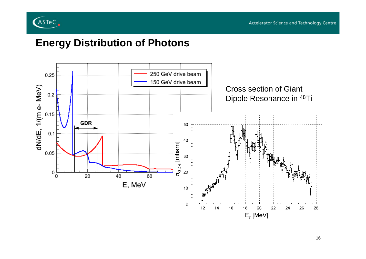

#### **Energy Distribution of Photons**

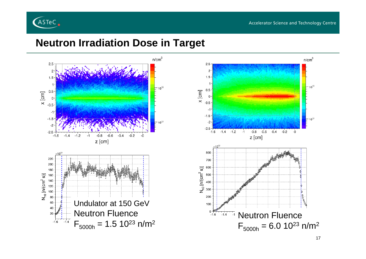

#### **Neutron Irradiation Dose in Target**

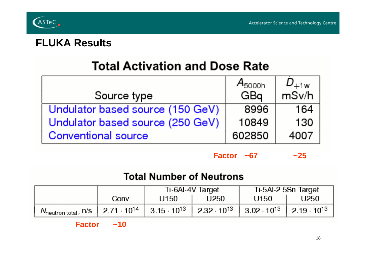

#### **FLUKA Results**

# **Total Activation and Dose Rate**

|                                  | $A_{5000h}$ | $D_{+1w}$ |
|----------------------------------|-------------|-----------|
| Source type                      | GBq         | msv/h     |
| Undulator based source (150 GeV) | 8996        | 164       |
| Undulator based source (250 GeV) | 10849       | 130       |
| <b>Conventional source</b>       | 602850      | 4007      |

**Factor ~67 ~25** $~25$ 

#### **Total Number of Neutrons**

|                                                                                                                                                                                                  |       | Ti-6AI-4V Target |      | Ti-5Al-2.5Sn Target |      |
|--------------------------------------------------------------------------------------------------------------------------------------------------------------------------------------------------|-------|------------------|------|---------------------|------|
|                                                                                                                                                                                                  | Conv. | U150             | U250 | U150                | U250 |
| $N_{\text{neutron total}}$ , n/s   2.71 $\cdot$ 10 <sup>14</sup>   3.15 $\cdot$ 10 <sup>13</sup>   2.32 $\cdot$ 10 <sup>13</sup>   3.02 $\cdot$ 10 <sup>13</sup>   2.19 $\cdot$ 10 <sup>13</sup> |       |                  |      |                     |      |

**Factor ~10**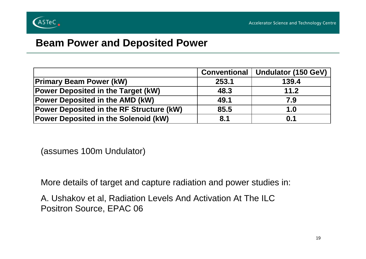

#### **Beam Power and Deposited Power**

|                                                 | <b>Conventional</b> | Undulator (150 GeV) |
|-------------------------------------------------|---------------------|---------------------|
| <b>Primary Beam Power (kW)</b>                  | 253.1               | 139.4               |
| <b>Power Deposited in the Target (kW)</b>       | 48.3                | 11.2                |
| <b>Power Deposited in the AMD (kW)</b>          | 49.1                | 7.9                 |
| <b>Power Deposited in the RF Structure (kW)</b> | 85.5                | 1.0                 |
| <b>Power Deposited in the Solenoid (kW)</b>     | 8.1                 | 0.1                 |

(assumes 100m Undulator)

More details of target and capture radiation and power studies in:

A. Ushakov et al, Radiation Levels And Activation At The ILC Positron Source, EPAC 06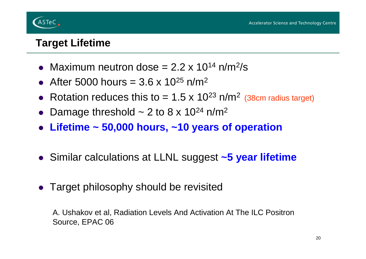

#### **Target Lifetime**

- Maximum neutron dose  $= 2.2 \times 10^{14}$  n/m<sup>2</sup>/s
- After 5000 hours =  $3.6 \times 10^{25}$  n/m<sup>2</sup>
- Rotation reduces this to = 1.5 x 10<sup>23</sup> n/m<sup>2</sup> (38cm radius target)
- Damage threshold  $\sim$  2 to 8 x 10<sup>24</sup> n/m<sup>2</sup>
- z **Lifetime ~ 50,000 hours, ~10 years of operation**
- **Similar calculations at LLNL suggest ~5 year lifetime**
- Target philosophy should be revisited

A. Ushakov et al, Radiation Levels And Activation At The ILC Positron Source, EPAC 06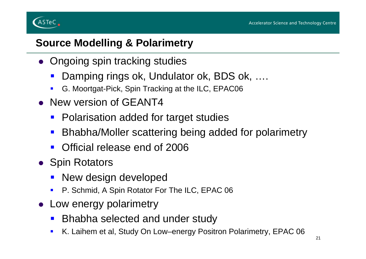

## **Source Modelling & Polarimetry**

- Ongoing spin tracking studies
	- Damping rings ok, Undulator ok, BDS ok, ....
	- $\blacksquare$ G. Moortgat-Pick, Spin Tracking at the ILC, EPAC06
- New version of GEANT4
	- $\mathbf{r}$ Polarisation added for target studies
	- $\mathbf{r}$ Bhabha/Moller scattering being added for polarimetry
	- $\mathcal{L}^{\text{max}}$ Official release end of 2006
- Spin Rotators
	- New design developed
	- $\blacksquare$ P. Schmid, A Spin Rotator For The ILC, EPAC 06
- Low energy polarimetry
	- $\mathcal{L}_{\mathcal{A}}$ Bhabha selected and under study
	- $\blacksquare$ K. Laihem et al, Study On Low–energy Positron Polarimetry, EPAC 06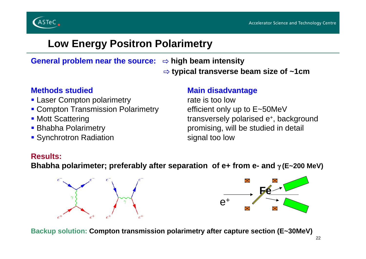



#### **Low Energy Positron Polarimetry**

General problem near the source: ⇔ high beam intensity

⇨ **typical transverse beam size of ~1cm**

- **Laser Compton polarimetry example as a rate is too low**
- Compton Transmission Polarimetry efficient only up to E~50MeV
- Mott Scattering
- Bhabha Polarimetry
- Synchrotron Radiation signal too low

#### **Methods studied Main disadvantage**

• Mott Scattering **transversely polarised e**+, background promising, will be studied in detail

#### **Results:**

**Bhabha polarimeter; preferably after separation of e+ from e- and** γ **(E~200 MeV)**





**Backup solution: Compton transmission polarimetry after capture section (E~30MeV)**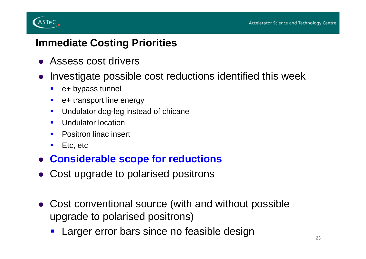

#### **Immediate Costing Priorities**

- Assess cost drivers
- $\bullet$  Investigate possible cost reductions identified this week
	- $\blacksquare$ e+ bypass tunnel
	- $\blacksquare$ e+ transport line energy
	- $\blacksquare$ Undulator dog-leg instead of chicane
	- $\blacksquare$ Undulator location
	- $\blacksquare$ Positron linac insert
	- $\blacksquare$ Etc, etc
- z **Considerable scope for reductions**
- Cost upgrade to polarised positrons
- Cost conventional source (with and without possible upgrade to polarised positrons)
	- e e Larger error bars since no feasible design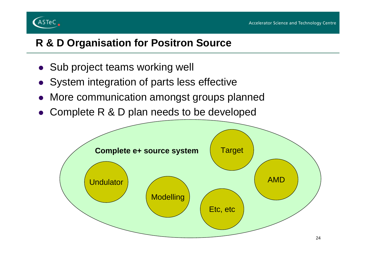

## **R & D Organisation for Positron Source**

- Sub project teams working well
- System integration of parts less effective
- $\bullet$ More communication amongst groups planned
- Complete R & D plan needs to be developed